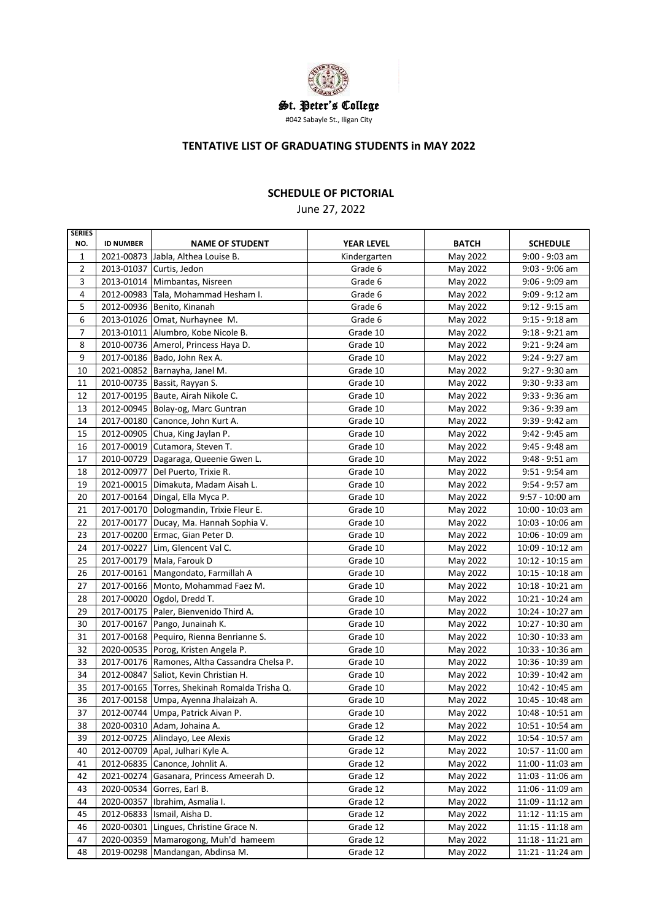

#### **TENTATIVE LIST OF GRADUATING STUDENTS in MAY 2022**

# **SCHEDULE OF PICTORIAL**

June 27, 2022

| <b>SERIES</b>  |                  |                                               |                   |              |                    |
|----------------|------------------|-----------------------------------------------|-------------------|--------------|--------------------|
| NO.            | <b>ID NUMBER</b> | <b>NAME OF STUDENT</b>                        | <b>YEAR LEVEL</b> | <b>BATCH</b> | <b>SCHEDULE</b>    |
| $\mathbf{1}$   |                  | 2021-00873 Jabla, Althea Louise B.            | Kindergarten      | May 2022     | $9:00 - 9:03$ am   |
| $\overline{2}$ |                  | 2013-01037 Curtis, Jedon                      | Grade 6           | May 2022     | $9:03 - 9:06$ am   |
| 3              |                  | 2013-01014   Mimbantas, Nisreen               | Grade 6           | May 2022     | $9:06 - 9:09$ am   |
| 4              |                  | 2012-00983 Tala, Mohammad Hesham I.           | Grade 6           | May 2022     | $9:09 - 9:12$ am   |
| 5              |                  | 2012-00936 Benito, Kinanah                    | Grade 6           | May 2022     | $9:12 - 9:15$ am   |
| 6              |                  | 2013-01026 Omat, Nurhaynee M.                 | Grade 6           | May 2022     | $9:15 - 9:18$ am   |
| $\overline{7}$ |                  | 2013-01011 Alumbro, Kobe Nicole B.            | Grade 10          | May 2022     | $9:18 - 9:21$ am   |
| 8              |                  | 2010-00736 Amerol, Princess Haya D.           | Grade 10          | May 2022     | $9:21 - 9:24$ am   |
| 9              |                  | 2017-00186 Bado, John Rex A.                  | Grade 10          | May 2022     | 9:24 - 9:27 am     |
| 10             |                  | 2021-00852 Barnayha, Janel M.                 | Grade 10          | May 2022     | 9:27 - 9:30 am     |
| 11             |                  | 2010-00735 Bassit, Rayyan S.                  | Grade 10          | May 2022     | 9:30 - 9:33 am     |
| 12             |                  | 2017-00195 Baute, Airah Nikole C.             | Grade 10          | May 2022     | 9:33 - 9:36 am     |
| 13             |                  | 2012-00945 Bolay-og, Marc Guntran             | Grade 10          | May 2022     | $9:36 - 9:39$ am   |
| 14             |                  | 2017-00180 Canonce, John Kurt A.              | Grade 10          | May 2022     | 9:39 - 9:42 am     |
| 15             |                  | 2012-00905 Chua, King Jaylan P.               | Grade 10          | May 2022     | 9:42 - 9:45 am     |
| 16             |                  | 2017-00019 Cutamora, Steven T.                | Grade 10          | May 2022     | 9:45 - 9:48 am     |
| 17             |                  | 2010-00729 Dagaraga, Queenie Gwen L.          | Grade 10          | May 2022     | $9:48 - 9:51$ am   |
| 18             |                  | 2012-00977 Del Puerto, Trixie R.              | Grade 10          | May 2022     | $9:51 - 9:54$ am   |
| 19             |                  | 2021-00015 Dimakuta, Madam Aisah L.           | Grade 10          | May 2022     | $9:54 - 9:57$ am   |
| 20             |                  | 2017-00164 Dingal, Ella Myca P.               | Grade 10          | May 2022     | $9:57 - 10:00$ am  |
| 21             |                  | 2017-00170 Dologmandin, Trixie Fleur E.       | Grade 10          | May 2022     | 10:00 - 10:03 am   |
| 22             |                  | 2017-00177 Ducay, Ma. Hannah Sophia V.        | Grade 10          | May 2022     | 10:03 - 10:06 am   |
| 23             |                  | 2017-00200 Ermac, Gian Peter D.               | Grade 10          | May 2022     | 10:06 - 10:09 am   |
| 24             |                  | 2017-00227 Lim, Glencent Val C.               | Grade 10          | May 2022     | 10:09 - 10:12 am   |
| 25             |                  | 2017-00179 Mala, Farouk D                     | Grade 10          | May 2022     | $10:12 - 10:15$ am |
| 26             |                  | 2017-00161 Mangondato, Farmillah A            | Grade 10          | May 2022     | $10:15 - 10:18$ am |
| 27             |                  | 2017-00166 Monto, Mohammad Faez M.            | Grade 10          | May 2022     | $10:18 - 10:21$ am |
| 28             |                  | 2017-00020 Ogdol, Dredd T.                    | Grade 10          | May 2022     | 10:21 - 10:24 am   |
| 29             |                  | 2017-00175 Paler, Bienvenido Third A.         | Grade 10          | May 2022     | 10:24 - 10:27 am   |
| 30             |                  | 2017-00167 Pango, Junainah K.                 | Grade 10          | May 2022     | 10:27 - 10:30 am   |
| 31             |                  | 2017-00168 Pequiro, Rienna Benrianne S.       | Grade 10          | May 2022     | 10:30 - 10:33 am   |
| 32             |                  | 2020-00535 Porog, Kristen Angela P.           | Grade 10          | May 2022     | 10:33 - 10:36 am   |
| 33             |                  | 2017-00176 Ramones, Altha Cassandra Chelsa P. | Grade 10          | May 2022     | 10:36 - 10:39 am   |
| 34             |                  | 2012-00847 Saliot, Kevin Christian H.         | Grade 10          | May 2022     | 10:39 - 10:42 am   |
| 35             |                  | 2017-00165 Torres, Shekinah Romalda Trisha Q. | Grade 10          | May 2022     | 10:42 - 10:45 am   |
| 36             |                  | 2017-00158 Umpa, Ayenna Jhalaizah A.          | Grade 10          | May 2022     | 10:45 - 10:48 am   |
| 37             |                  | 2012-00744 Umpa, Patrick Aivan P.             | Grade 10          | May 2022     | 10:48 - 10:51 am   |
| 38             |                  | 2020-00310 Adam, Johaina A.                   | Grade 12          | May 2022     | 10:51 - 10:54 am   |
| 39             |                  | 2012-00725 Alindayo, Lee Alexis               | Grade 12          | May 2022     | 10:54 - 10:57 am   |
| 40             |                  | 2012-00709 Apal, Julhari Kyle A.              | Grade 12          | May 2022     | 10:57 - 11:00 am   |
| 41             |                  | 2012-06835 Canonce, Johnlit A.                | Grade 12          | May 2022     | 11:00 - 11:03 am   |
| 42             | 2021-00274       | Gasanara, Princess Ameerah D.                 | Grade 12          | May 2022     | 11:03 - 11:06 am   |
| 43             | 2020-00534       | Gorres, Earl B.                               | Grade 12          | May 2022     | 11:06 - 11:09 am   |
| 44             | 2020-00357       | Ibrahim, Asmalia I.                           | Grade 12          | May 2022     | $11:09 - 11:12$ am |
| 45             | 2012-06833       | Ismail, Aisha D.                              | Grade 12          | May 2022     | $11:12 - 11:15$ am |
| 46             | 2020-00301       | Lingues, Christine Grace N.                   | Grade 12          | May 2022     | $11:15 - 11:18$ am |
| 47             | 2020-00359       | Mamarogong, Muh'd hameem                      | Grade 12          | May 2022     | $11:18 - 11:21$ am |
| 48             | 2019-00298       | Mandangan, Abdinsa M.                         | Grade 12          | May 2022     | $11:21 - 11:24$ am |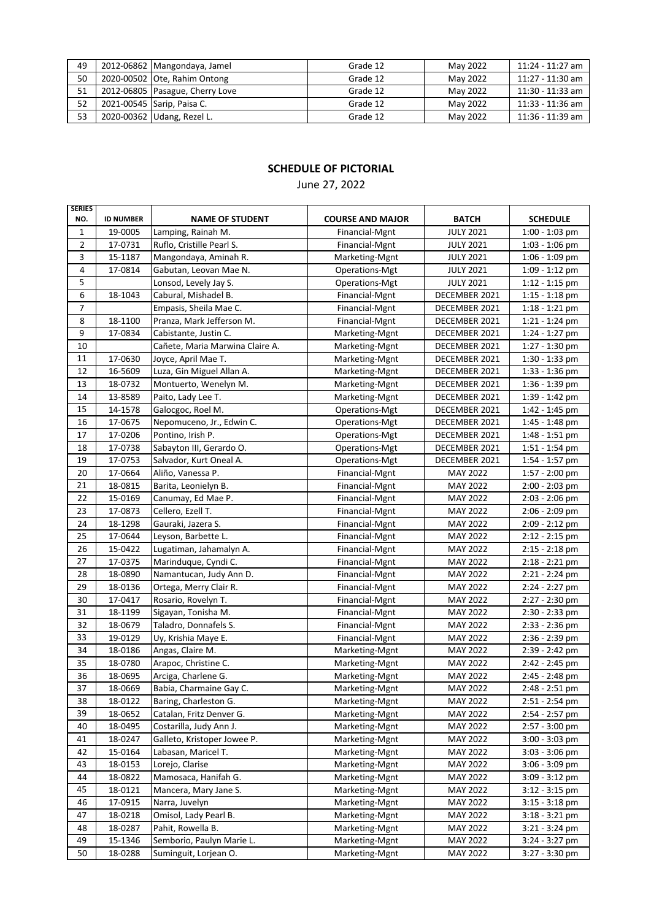| 49 | 2012-06862 Mangondaya, Jamel    | Grade 12 | May 2022 | 11:24 - 11:27 am   |
|----|---------------------------------|----------|----------|--------------------|
| 50 | 2020-00502 Ote, Rahim Ontong    | Grade 12 | May 2022 | 11:27 - 11:30 am   |
| 51 | 2012-06805 Pasague, Cherry Love | Grade 12 | May 2022 | 11:30 - 11:33 am   |
| 52 | 2021-00545 Sarip, Paisa C.      | Grade 12 | May 2022 | 11:33 - 11:36 am   |
| 53 | 2020-00362 Udang, Rezel L.      | Grade 12 | May 2022 | $11:36 - 11:39$ am |

June 27, 2022

| <b>SERIES</b>  |                  |                                 |                         |                  |                  |
|----------------|------------------|---------------------------------|-------------------------|------------------|------------------|
| NO.            | <b>ID NUMBER</b> | <b>NAME OF STUDENT</b>          | <b>COURSE AND MAJOR</b> | <b>BATCH</b>     | <b>SCHEDULE</b>  |
| 1              | 19-0005          | Lamping, Rainah M.              | Financial-Mgnt          | <b>JULY 2021</b> | 1:00 - 1:03 pm   |
| $\overline{2}$ | 17-0731          | Ruflo, Cristille Pearl S.       | Financial-Mgnt          | <b>JULY 2021</b> | $1:03 - 1:06$ pm |
| 3              | 15-1187          | Mangondaya, Aminah R.           | Marketing-Mgnt          | <b>JULY 2021</b> | 1:06 - 1:09 pm   |
| 4              | 17-0814          | Gabutan, Leovan Mae N.          | Operations-Mgt          | <b>JULY 2021</b> | 1:09 - 1:12 pm   |
| 5              |                  | Lonsod, Levely Jay S.           | Operations-Mgt          | <b>JULY 2021</b> | $1:12 - 1:15$ pm |
| 6              | 18-1043          | Cabural, Mishadel B.            | Financial-Mgnt          | DECEMBER 2021    | $1:15 - 1:18$ pm |
| 7              |                  | Empasis, Sheila Mae C.          | Financial-Mgnt          | DECEMBER 2021    | $1:18 - 1:21$ pm |
| 8              | 18-1100          | Pranza, Mark Jefferson M.       | Financial-Mgnt          | DECEMBER 2021    | $1:21 - 1:24$ pm |
| 9              | 17-0834          | Cabistante, Justin C.           | Marketing-Mgnt          | DECEMBER 2021    | 1:24 - 1:27 pm   |
| 10             |                  | Cañete, Maria Marwina Claire A. | Marketing-Mgnt          | DECEMBER 2021    | $1:27 - 1:30$ pm |
| 11             | 17-0630          | Joyce, April Mae T.             | Marketing-Mgnt          | DECEMBER 2021    | $1:30 - 1:33$ pm |
| 12             | 16-5609          | Luza, Gin Miguel Allan A.       | Marketing-Mgnt          | DECEMBER 2021    | $1:33 - 1:36$ pm |
| 13             | 18-0732          | Montuerto, Wenelyn M.           | Marketing-Mgnt          | DECEMBER 2021    | $1:36 - 1:39$ pm |
| 14             | 13-8589          | Paito, Lady Lee T.              | Marketing-Mgnt          | DECEMBER 2021    | $1:39 - 1:42$ pm |
| 15             | 14-1578          | Galocgoc, Roel M.               | Operations-Mgt          | DECEMBER 2021    | 1:42 - 1:45 pm   |
| 16             | 17-0675          | Nepomuceno, Jr., Edwin C.       | Operations-Mgt          | DECEMBER 2021    | 1:45 - 1:48 pm   |
| 17             | 17-0206          | Pontino, Irish P.               | Operations-Mgt          | DECEMBER 2021    | $1:48 - 1:51$ pm |
| 18             | 17-0738          | Sabayton III, Gerardo O.        | Operations-Mgt          | DECEMBER 2021    | $1:51 - 1:54$ pm |
| 19             | 17-0753          | Salvador, Kurt Oneal A.         | Operations-Mgt          | DECEMBER 2021    | 1:54 - 1:57 pm   |
| 20             | 17-0664          | Aliño, Vanessa P.               | Financial-Mgnt          | MAY 2022         | 1:57 - 2:00 pm   |
| 21             | 18-0815          | Barita, Leonielyn B.            | Financial-Mgnt          | MAY 2022         | 2:00 - 2:03 pm   |
| 22             | 15-0169          | Canumay, Ed Mae P.              | Financial-Mgnt          | MAY 2022         | 2:03 - 2:06 pm   |
| 23             | 17-0873          | Cellero, Ezell T.               | Financial-Mgnt          | MAY 2022         | 2:06 - 2:09 pm   |
| 24             | 18-1298          | Gauraki, Jazera S.              | Financial-Mgnt          | <b>MAY 2022</b>  | 2:09 - 2:12 pm   |
| 25             | 17-0644          | Leyson, Barbette L.             | Financial-Mgnt          | <b>MAY 2022</b>  | $2:12 - 2:15$ pm |
| 26             | 15-0422          | Lugatiman, Jahamalyn A.         | Financial-Mgnt          | MAY 2022         | $2:15 - 2:18$ pm |
| 27             | 17-0375          | Marinduque, Cyndi C.            | Financial-Mgnt          | <b>MAY 2022</b>  | $2:18 - 2:21$ pm |
| 28             | 18-0890          | Namantucan, Judy Ann D.         | Financial-Mgnt          | MAY 2022         | $2:21 - 2:24$ pm |
| 29             | 18-0136          | Ortega, Merry Clair R.          | Financial-Mgnt          | <b>MAY 2022</b>  | 2:24 - 2:27 pm   |
| 30             | 17-0417          | Rosario, Rovelyn T.             | Financial-Mgnt          | <b>MAY 2022</b>  | 2:27 - 2:30 pm   |
| 31             | 18-1199          | Sigayan, Tonisha M.             | Financial-Mgnt          | <b>MAY 2022</b>  | 2:30 - 2:33 pm   |
| 32             | 18-0679          | Taladro, Donnafels S.           | Financial-Mgnt          | MAY 2022         | 2:33 - 2:36 pm   |
| 33             | 19-0129          | Uy, Krishia Maye E.             | Financial-Mgnt          | MAY 2022         | 2:36 - 2:39 pm   |
| 34             | 18-0186          | Angas, Claire M.                | Marketing-Mgnt          | MAY 2022         | 2:39 - 2:42 pm   |
| 35             | 18-0780          | Arapoc, Christine C.            | Marketing-Mgnt          | MAY 2022         | 2:42 - 2:45 pm   |
| 36             | 18-0695          | Arciga, Charlene G.             | Marketing-Mgnt          | MAY 2022         | 2:45 - 2:48 pm   |
| 37             | 18-0669          | Babia, Charmaine Gay C.         | Marketing-Mgnt          | MAY 2022         | 2:48 - 2:51 pm   |
| 38             | 18-0122          | Baring, Charleston G.           | Marketing-Mgnt          | MAY 2022         | 2:51 - 2:54 pm   |
| 39             | 18-0652          | Catalan, Fritz Denver G.        | Marketing-Mgnt          | MAY 2022         | 2:54 - 2:57 pm   |
| 40             | 18-0495          | Costarilla, Judy Ann J.         | Marketing-Mgnt          | MAY 2022         | 2:57 - 3:00 pm   |
| 41             | 18-0247          | Galleto, Kristoper Jowee P.     | Marketing-Mgnt          | MAY 2022         | $3:00 - 3:03$ pm |
| 42             | 15-0164          | Labasan, Maricel T.             | Marketing-Mgnt          | MAY 2022         | $3:03 - 3:06$ pm |
| 43             | 18-0153          | Lorejo, Clarise                 | Marketing-Mgnt          | MAY 2022         | 3:06 - 3:09 pm   |
| 44             | 18-0822          | Mamosaca, Hanifah G.            | Marketing-Mgnt          | MAY 2022         | 3:09 - 3:12 pm   |
| 45             | 18-0121          | Mancera, Mary Jane S.           | Marketing-Mgnt          | <b>MAY 2022</b>  | 3:12 - 3:15 pm   |
| 46             | 17-0915          | Narra, Juvelyn                  | Marketing-Mgnt          | <b>MAY 2022</b>  | $3:15 - 3:18$ pm |
| 47             | 18-0218          | Omisol, Lady Pearl B.           | Marketing-Mgnt          | MAY 2022         | $3:18 - 3:21$ pm |
| 48             | 18-0287          | Pahit, Rowella B.               | Marketing-Mgnt          | MAY 2022         | 3:21 - 3:24 pm   |
| 49             | 15-1346          | Semborio, Paulyn Marie L.       | Marketing-Mgnt          | MAY 2022         | 3:24 - 3:27 pm   |
| 50             | 18-0288          | Suminguit, Lorjean O.           | Marketing-Mgnt          | MAY 2022         | 3:27 - 3:30 pm   |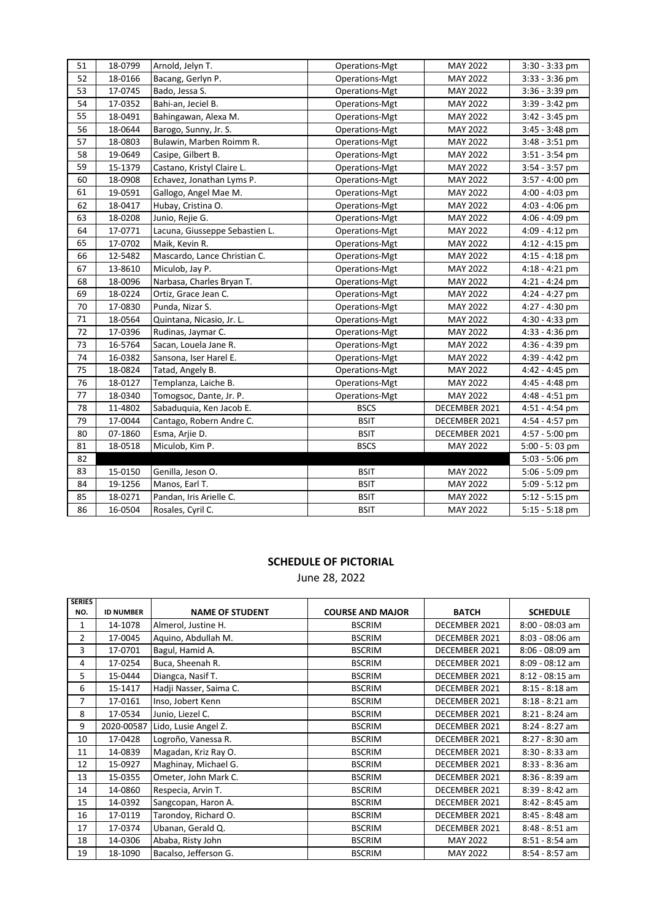| 51 | 18-0799 | Arnold, Jelyn T.               | Operations-Mgt | <b>MAY 2022</b> | $3:30 - 3:33$ pm |
|----|---------|--------------------------------|----------------|-----------------|------------------|
| 52 | 18-0166 | Bacang, Gerlyn P.              | Operations-Mgt | MAY 2022        | $3:33 - 3:36$ pm |
| 53 | 17-0745 | Bado, Jessa S.                 | Operations-Mgt | MAY 2022        | 3:36 - 3:39 pm   |
| 54 | 17-0352 | Bahi-an, Jeciel B.             | Operations-Mgt | MAY 2022        | 3:39 - 3:42 pm   |
| 55 | 18-0491 | Bahingawan, Alexa M.           | Operations-Mgt | MAY 2022        | 3:42 - 3:45 pm   |
| 56 | 18-0644 | Barogo, Sunny, Jr. S.          | Operations-Mgt | MAY 2022        | $3:45 - 3:48$ pm |
| 57 | 18-0803 | Bulawin, Marben Roimm R.       | Operations-Mgt | MAY 2022        | $3:48 - 3:51$ pm |
| 58 | 19-0649 | Casipe, Gilbert B.             | Operations-Mgt | MAY 2022        | $3:51 - 3:54$ pm |
| 59 | 15-1379 | Castano, Kristyl Claire L.     | Operations-Mgt | MAY 2022        | $3:54 - 3:57$ pm |
| 60 | 18-0908 | Echavez, Jonathan Lyms P.      | Operations-Mgt | MAY 2022        | $3:57 - 4:00$ pm |
| 61 | 19-0591 | Gallogo, Angel Mae M.          | Operations-Mgt | MAY 2022        | $4:00 - 4:03$ pm |
| 62 | 18-0417 | Hubay, Cristina O.             | Operations-Mgt | <b>MAY 2022</b> | $4:03 - 4:06$ pm |
| 63 | 18-0208 | Junio, Rejie G.                | Operations-Mgt | MAY 2022        | 4:06 - 4:09 pm   |
| 64 | 17-0771 | Lacuna, Giusseppe Sebastien L. | Operations-Mgt | MAY 2022        | $4:09 - 4:12$ pm |
| 65 | 17-0702 | Maik, Kevin R.                 | Operations-Mgt | MAY 2022        | $4:12 - 4:15$ pm |
| 66 | 12-5482 | Mascardo, Lance Christian C.   | Operations-Mgt | MAY 2022        | $4:15 - 4:18$ pm |
| 67 | 13-8610 | Miculob, Jay P.                | Operations-Mgt | MAY 2022        | $4:18 - 4:21$ pm |
| 68 | 18-0096 | Narbasa, Charles Bryan T.      | Operations-Mgt | MAY 2022        | $4:21 - 4:24$ pm |
| 69 | 18-0224 | Ortiz, Grace Jean C.           | Operations-Mgt | MAY 2022        | 4:24 - 4:27 pm   |
| 70 | 17-0830 | Punda, Nizar S.                | Operations-Mgt | MAY 2022        | 4:27 - 4:30 pm   |
| 71 | 18-0564 | Quintana, Nicasio, Jr. L.      | Operations-Mgt | MAY 2022        | 4:30 - 4:33 pm   |
| 72 | 17-0396 | Rudinas, Jaymar C.             | Operations-Mgt | MAY 2022        | 4:33 - 4:36 pm   |
| 73 | 16-5764 | Sacan, Louela Jane R.          | Operations-Mgt | MAY 2022        | $4:36 - 4:39$ pm |
| 74 | 16-0382 | Sansona, Iser Harel E.         | Operations-Mgt | MAY 2022        | 4:39 - 4:42 pm   |
| 75 | 18-0824 | Tatad, Angely B.               | Operations-Mgt | MAY 2022        | 4:42 - 4:45 pm   |
| 76 | 18-0127 | Templanza, Laiche B.           | Operations-Mgt | MAY 2022        | 4:45 - 4:48 pm   |
| 77 | 18-0340 | Tomogsoc, Dante, Jr. P.        | Operations-Mgt | MAY 2022        | 4:48 - 4:51 pm   |
| 78 | 11-4802 | Sabaduguia, Ken Jacob E.       | <b>BSCS</b>    | DECEMBER 2021   | $4:51 - 4:54$ pm |
| 79 | 17-0044 | Cantago, Robern Andre C.       | <b>BSIT</b>    | DECEMBER 2021   | 4:54 - 4:57 pm   |
| 80 | 07-1860 | Esma, Arjie D.                 | <b>BSIT</b>    | DECEMBER 2021   | 4:57 - 5:00 pm   |
| 81 | 18-0518 | Miculob, Kim P.                | <b>BSCS</b>    | MAY 2022        | $5:00 - 5:03$ pm |
| 82 |         |                                |                |                 | $5:03 - 5:06$ pm |
| 83 | 15-0150 | Genilla, Jeson O.              | <b>BSIT</b>    | MAY 2022        | $5:06 - 5:09$ pm |
| 84 | 19-1256 | Manos, Earl T.                 | <b>BSIT</b>    | MAY 2022        | $5:09 - 5:12$ pm |
| 85 | 18-0271 | Pandan, Iris Arielle C.        | <b>BSIT</b>    | MAY 2022        | $5:12 - 5:15$ pm |
| 86 | 16-0504 | Rosales, Cyril C.              | <b>BSIT</b>    | MAY 2022        | $5:15 - 5:18$ pm |

June 28, 2022

| <b>SERIES</b>  |                  |                        |                         |                 |                   |
|----------------|------------------|------------------------|-------------------------|-----------------|-------------------|
| NO.            | <b>ID NUMBER</b> | <b>NAME OF STUDENT</b> | <b>COURSE AND MAJOR</b> | <b>BATCH</b>    | <b>SCHEDULE</b>   |
| 1              | 14-1078          | Almerol, Justine H.    | <b>BSCRIM</b>           | DECEMBER 2021   | $8:00 - 08:03$ am |
| $\overline{2}$ | 17-0045          | Aquino, Abdullah M.    | <b>BSCRIM</b>           | DECEMBER 2021   | $8:03 - 08:06$ am |
| 3              | 17-0701          | Bagul, Hamid A.        | <b>BSCRIM</b>           | DECEMBER 2021   | 8:06 - 08:09 am   |
| 4              | 17-0254          | Buca, Sheenah R.       | <b>BSCRIM</b>           | DECEMBER 2021   | 8:09 - 08:12 am   |
| 5              | 15-0444          | Diangca, Nasif T.      | <b>BSCRIM</b>           | DECEMBER 2021   | $8:12 - 08:15$ am |
| 6              | 15-1417          | Hadji Nasser, Saima C. | <b>BSCRIM</b>           | DECEMBER 2021   | $8:15 - 8:18$ am  |
| 7              | 17-0161          | Inso, Jobert Kenn      | <b>BSCRIM</b>           | DECEMBER 2021   | $8:18 - 8:21$ am  |
| 8              | 17-0534          | Junio, Liezel C.       | <b>BSCRIM</b>           | DECEMBER 2021   | $8:21 - 8:24$ am  |
| 9              | 2020-00587       | Lido, Lusie Angel Z.   | <b>BSCRIM</b>           | DECEMBER 2021   | 8:24 - 8:27 am    |
| 10             | 17-0428          | Logroño, Vanessa R.    | <b>BSCRIM</b>           | DECEMBER 2021   | 8:27 - 8:30 am    |
| 11             | 14-0839          | Magadan, Kriz Ray O.   | <b>BSCRIM</b>           | DECEMBER 2021   | $8:30 - 8:33$ am  |
| 12             | 15-0927          | Maghinay, Michael G.   | <b>BSCRIM</b>           | DECEMBER 2021   | $8:33 - 8:36$ am  |
| 13             | 15-0355          | Ometer, John Mark C.   | <b>BSCRIM</b>           | DECEMBER 2021   | 8:36 - 8:39 am    |
| 14             | 14-0860          | Respecia, Arvin T.     | <b>BSCRIM</b>           | DECEMBER 2021   | 8:39 - 8:42 am    |
| 15             | 14-0392          | Sangcopan, Haron A.    | <b>BSCRIM</b>           | DECEMBER 2021   | 8:42 - 8:45 am    |
| 16             | 17-0119          | Tarondoy, Richard O.   | <b>BSCRIM</b>           | DECEMBER 2021   | $8:45 - 8:48$ am  |
| 17             | 17-0374          | Ubanan, Gerald Q.      | <b>BSCRIM</b>           | DECEMBER 2021   | $8:48 - 8:51$ am  |
| 18             | 14-0306          | Ababa, Risty John      | <b>BSCRIM</b>           | <b>MAY 2022</b> | $8:51 - 8:54$ am  |
| 19             | 18-1090          | Bacalso, Jefferson G.  | <b>BSCRIM</b>           | <b>MAY 2022</b> | 8:54 - 8:57 am    |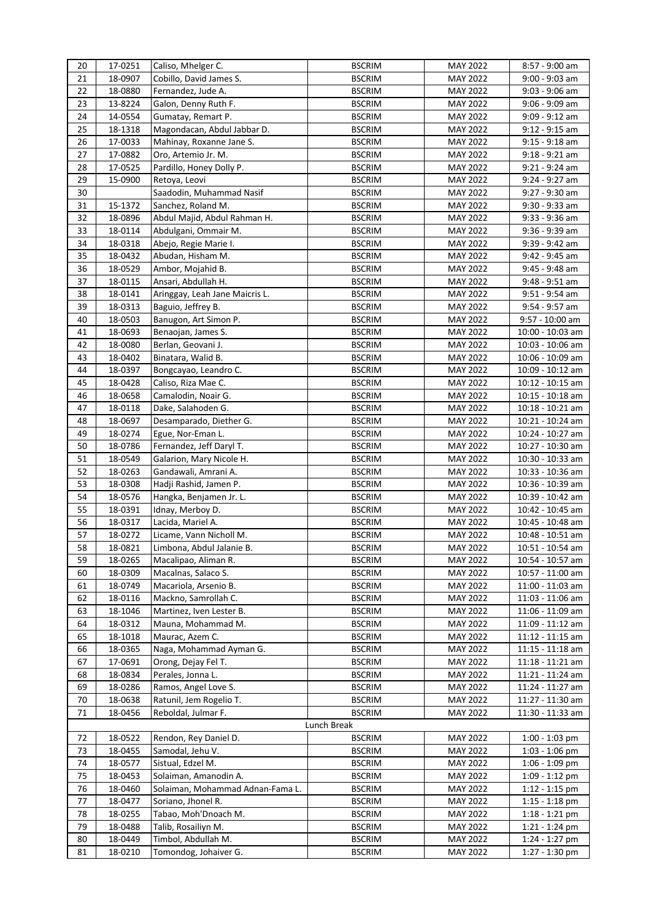| 20 | 17-0251 | Caliso, Mhelger C.               | <b>BSCRIM</b> | <b>MAY 2022</b> | 8:57 - 9:00 am     |
|----|---------|----------------------------------|---------------|-----------------|--------------------|
| 21 | 18-0907 | Cobillo, David James S.          | <b>BSCRIM</b> | MAY 2022        | $9:00 - 9:03$ am   |
| 22 | 18-0880 | Fernandez, Jude A.               | <b>BSCRIM</b> | <b>MAY 2022</b> | $9:03 - 9:06$ am   |
| 23 | 13-8224 | Galon, Denny Ruth F.             | <b>BSCRIM</b> | MAY 2022        | 9:06 - 9:09 am     |
| 24 | 14-0554 | Gumatay, Remart P.               | <b>BSCRIM</b> | MAY 2022        | 9:09 - 9:12 am     |
| 25 | 18-1318 | Magondacan, Abdul Jabbar D.      | <b>BSCRIM</b> | MAY 2022        | $9:12 - 9:15$ am   |
| 26 | 17-0033 | Mahinay, Roxanne Jane S.         | <b>BSCRIM</b> | MAY 2022        | $9:15 - 9:18$ am   |
| 27 | 17-0882 | Oro, Artemio Jr. M.              | <b>BSCRIM</b> | MAY 2022        | $9:18 - 9:21$ am   |
| 28 | 17-0525 | Pardillo, Honey Dolly P.         | <b>BSCRIM</b> | MAY 2022        | $9:21 - 9:24$ am   |
| 29 | 15-0900 | Retoya, Leovi                    | <b>BSCRIM</b> | MAY 2022        | $9:24 - 9:27$ am   |
| 30 |         | Saadodin, Muhammad Nasif         | <b>BSCRIM</b> | <b>MAY 2022</b> | 9:27 - 9:30 am     |
| 31 | 15-1372 | Sanchez, Roland M.               | <b>BSCRIM</b> | <b>MAY 2022</b> | $9:30 - 9:33$ am   |
| 32 | 18-0896 | Abdul Majid, Abdul Rahman H.     | <b>BSCRIM</b> | MAY 2022        | 9:33 - 9:36 am     |
| 33 | 18-0114 | Abdulgani, Ommair M.             | <b>BSCRIM</b> | MAY 2022        | 9:36 - 9:39 am     |
| 34 | 18-0318 | Abejo, Regie Marie I.            | <b>BSCRIM</b> | MAY 2022        | 9:39 - 9:42 am     |
| 35 | 18-0432 | Abudan, Hisham M.                | <b>BSCRIM</b> | <b>MAY 2022</b> | 9:42 - 9:45 am     |
| 36 | 18-0529 | Ambor, Mojahid B.                | <b>BSCRIM</b> | MAY 2022        | 9:45 - 9:48 am     |
| 37 | 18-0115 | Ansari, Abdullah H.              | <b>BSCRIM</b> | <b>MAY 2022</b> | $9:48 - 9:51$ am   |
| 38 | 18-0141 | Aringgay, Leah Jane Maicris L.   | <b>BSCRIM</b> | <b>MAY 2022</b> | $9:51 - 9:54$ am   |
| 39 | 18-0313 | Baguio, Jeffrey B.               | <b>BSCRIM</b> | MAY 2022        | 9:54 - 9:57 am     |
| 40 | 18-0503 | Banugon, Art Simon P.            | <b>BSCRIM</b> | MAY 2022        | 9:57 - 10:00 am    |
| 41 | 18-0693 | Benaojan, James S.               | <b>BSCRIM</b> | MAY 2022        | 10:00 - 10:03 am   |
| 42 | 18-0080 | Berlan, Geovani J.               | <b>BSCRIM</b> | MAY 2022        | 10:03 - 10:06 am   |
| 43 | 18-0402 | Binatara, Walid B.               | <b>BSCRIM</b> | MAY 2022        | 10:06 - 10:09 am   |
| 44 | 18-0397 | Bongcayao, Leandro C.            | <b>BSCRIM</b> | MAY 2022        | 10:09 - 10:12 am   |
| 45 | 18-0428 | Caliso, Riza Mae C.              | <b>BSCRIM</b> | <b>MAY 2022</b> | $10:12 - 10:15$ am |
| 46 | 18-0658 | Camalodin, Noair G.              | <b>BSCRIM</b> | MAY 2022        | $10:15 - 10:18$ am |
| 47 | 18-0118 | Dake, Salahoden G.               | <b>BSCRIM</b> | MAY 2022        | 10:18 - 10:21 am   |
| 48 | 18-0697 | Desamparado, Diether G.          | <b>BSCRIM</b> | MAY 2022        | 10:21 - 10:24 am   |
| 49 | 18-0274 | Egue, Nor-Eman L.                | <b>BSCRIM</b> | MAY 2022        | 10:24 - 10:27 am   |
| 50 | 18-0786 | Fernandez, Jeff Daryl T.         | <b>BSCRIM</b> | MAY 2022        | 10:27 - 10:30 am   |
| 51 | 18-0549 | Galarion, Mary Nicole H.         | <b>BSCRIM</b> | MAY 2022        | 10:30 - 10:33 am   |
| 52 | 18-0263 | Gandawali, Amrani A.             | <b>BSCRIM</b> | MAY 2022        | 10:33 - 10:36 am   |
| 53 | 18-0308 | Hadji Rashid, Jamen P.           | <b>BSCRIM</b> | <b>MAY 2022</b> | 10:36 - 10:39 am   |
| 54 | 18-0576 | Hangka, Benjamen Jr. L.          | <b>BSCRIM</b> | MAY 2022        | 10:39 - 10:42 am   |
| 55 | 18-0391 | Idnay, Merboy D.                 | <b>BSCRIM</b> | MAY 2022        | 10:42 - 10:45 am   |
| 56 | 18-0317 | Lacida, Mariel A.                | <b>BSCRIM</b> | MAY 2022        | 10:45 - 10:48 am   |
| 57 | 18-0272 | Licame, Vann Nicholl M.          | <b>BSCRIM</b> | MAY 2022        | 10:48 - 10:51 am   |
| 58 | 18-0821 | Limbona, Abdul Jalanie B.        | <b>BSCRIM</b> | MAY 2022        | 10:51 - 10:54 am   |
| 59 | 18-0265 | Macalipao, Aliman R.             | <b>BSCRIM</b> | MAY 2022        | 10:54 - 10:57 am   |
| 60 | 18-0309 | Macalnas, Salaco S.              | <b>BSCRIM</b> | <b>MAY 2022</b> | 10:57 - 11:00 am   |
| 61 | 18-0749 | Macariola, Arsenio B.            | <b>BSCRIM</b> | MAY 2022        | 11:00 - 11:03 am   |
| 62 | 18-0116 | Mackno, Samrollah C.             | <b>BSCRIM</b> | MAY 2022        | 11:03 - 11:06 am   |
| 63 | 18-1046 | Martinez, Iven Lester B.         | <b>BSCRIM</b> | MAY 2022        | 11:06 - 11:09 am   |
| 64 | 18-0312 | Mauna, Mohammad M.               | <b>BSCRIM</b> | MAY 2022        | 11:09 - 11:12 am   |
| 65 | 18-1018 | Maurac, Azem C.                  | <b>BSCRIM</b> | MAY 2022        | $11:12 - 11:15$ am |
| 66 | 18-0365 | Naga, Mohammad Ayman G.          | <b>BSCRIM</b> | MAY 2022        | $11:15 - 11:18$ am |
| 67 | 17-0691 | Orong, Dejay Fel T.              | <b>BSCRIM</b> | MAY 2022        | $11:18 - 11:21$ am |
| 68 | 18-0834 | Perales, Jonna L.                | <b>BSCRIM</b> | MAY 2022        | $11:21 - 11:24$ am |
| 69 | 18-0286 | Ramos, Angel Love S.             | <b>BSCRIM</b> | MAY 2022        | 11:24 - 11:27 am   |
| 70 | 18-0638 | Ratunil, Jem Rogelio T.          | <b>BSCRIM</b> | MAY 2022        | 11:27 - 11:30 am   |
| 71 | 18-0456 | Reboldal, Julmar F.              | <b>BSCRIM</b> | MAY 2022        | 11:30 - 11:33 am   |
|    |         |                                  | Lunch Break   |                 |                    |
| 72 | 18-0522 | Rendon, Rey Daniel D.            | <b>BSCRIM</b> | MAY 2022        | 1:00 - 1:03 pm     |
| 73 | 18-0455 | Samodal, Jehu V.                 | <b>BSCRIM</b> | MAY 2022        | $1:03 - 1:06$ pm   |
| 74 | 18-0577 | Sistual, Edzel M.                | <b>BSCRIM</b> | <b>MAY 2022</b> | 1:06 - 1:09 pm     |
| 75 | 18-0453 | Solaiman, Amanodin A.            | <b>BSCRIM</b> | MAY 2022        | $1:09 - 1:12$ pm   |
| 76 | 18-0460 | Solaiman, Mohammad Adnan-Fama L. | <b>BSCRIM</b> | MAY 2022        | $1:12 - 1:15$ pm   |
| 77 | 18-0477 | Soriano, Jhonel R.               | <b>BSCRIM</b> | MAY 2022        | 1:15 - 1:18 pm     |
| 78 | 18-0255 | Tabao, Moh'Dnoach M.             | <b>BSCRIM</b> | MAY 2022        | $1:18 - 1:21$ pm   |
| 79 | 18-0488 | Talib, Rosailiyn M.              | <b>BSCRIM</b> | MAY 2022        | 1:21 - 1:24 pm     |
| 80 | 18-0449 | Timbol, Abdullah M.              | <b>BSCRIM</b> | MAY 2022        | $1:24 - 1:27$ pm   |
| 81 | 18-0210 | Tomondog, Johaiver G.            | <b>BSCRIM</b> | MAY 2022        | 1:27 - 1:30 pm     |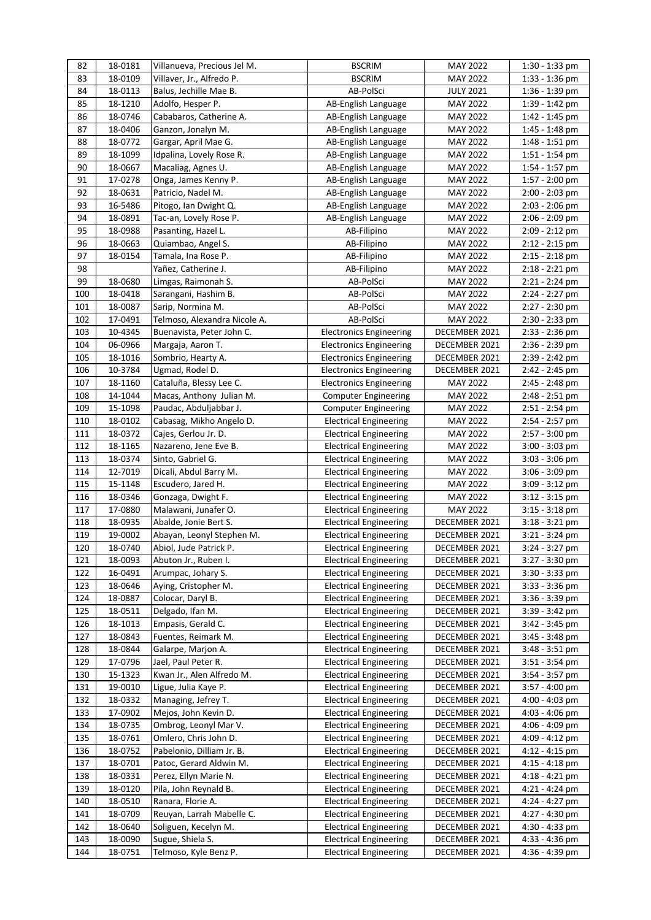| 82         | 18-0181            | Villanueva, Precious Jel M.               | <b>BSCRIM</b>                                                  | <b>MAY 2022</b>                | 1:30 - 1:33 pm                       |
|------------|--------------------|-------------------------------------------|----------------------------------------------------------------|--------------------------------|--------------------------------------|
| 83         | 18-0109            | Villaver, Jr., Alfredo P.                 | <b>BSCRIM</b>                                                  | MAY 2022                       | $1:33 - 1:36$ pm                     |
| 84         | 18-0113            | Balus, Jechille Mae B.                    | AB-PolSci                                                      | <b>JULY 2021</b>               | 1:36 - 1:39 pm                       |
| 85         | 18-1210            | Adolfo, Hesper P.                         | AB-English Language                                            | <b>MAY 2022</b>                | $1:39 - 1:42$ pm                     |
| 86         | 18-0746            | Cababaros, Catherine A.                   | AB-English Language                                            | MAY 2022                       | 1:42 - 1:45 pm                       |
| 87         | 18-0406            | Ganzon, Jonalyn M.                        | AB-English Language                                            | <b>MAY 2022</b>                | $1:45 - 1:48$ pm                     |
| 88         | 18-0772            | Gargar, April Mae G.                      | AB-English Language                                            | MAY 2022                       | $1:48 - 1:51$ pm                     |
| 89         | 18-1099            | Idpalina, Lovely Rose R.                  | AB-English Language                                            | <b>MAY 2022</b>                | $1:51 - 1:54$ pm                     |
| 90         | 18-0667            | Macaliag, Agnes U.                        | AB-English Language                                            | MAY 2022                       | 1:54 - 1:57 pm                       |
| 91         | 17-0278            | Onga, James Kenny P.                      | AB-English Language                                            | MAY 2022                       | 1:57 - 2:00 pm                       |
| 92         | 18-0631            | Patricio, Nadel M.                        | AB-English Language                                            | <b>MAY 2022</b>                | 2:00 - 2:03 pm                       |
| 93         | 16-5486            | Pitogo, Ian Dwight Q.                     | AB-English Language                                            | <b>MAY 2022</b>                | $2:03 - 2:06$ pm                     |
| 94         | 18-0891            | Tac-an, Lovely Rose P.                    | AB-English Language                                            | <b>MAY 2022</b>                | 2:06 - 2:09 pm                       |
| 95         | 18-0988            | Pasanting, Hazel L.                       | AB-Filipino                                                    | <b>MAY 2022</b>                | 2:09 - 2:12 pm                       |
| 96         | 18-0663            | Quiambao, Angel S.                        | AB-Filipino                                                    | <b>MAY 2022</b>                | 2:12 - 2:15 pm                       |
| 97         | 18-0154            | Tamala, Ina Rose P.                       | AB-Filipino                                                    | <b>MAY 2022</b>                | $2:15 - 2:18$ pm                     |
| 98         |                    | Yañez, Catherine J.                       | AB-Filipino                                                    | <b>MAY 2022</b>                | $2:18 - 2:21$ pm                     |
| 99         | 18-0680            | Limgas, Raimonah S.                       | AB-PolSci                                                      | <b>MAY 2022</b>                | $2:21 - 2:24$ pm                     |
| 100        | 18-0418            | Sarangani, Hashim B.                      | AB-PolSci                                                      | <b>MAY 2022</b>                | 2:24 - 2:27 pm                       |
| 101        | 18-0087            | Sarip, Normina M.                         | AB-PolSci                                                      | <b>MAY 2022</b>                | 2:27 - 2:30 pm                       |
| 102        | 17-0491            | Telmoso, Alexandra Nicole A.              | AB-PolSci                                                      | MAY 2022                       | $2:30 - 2:33$ pm                     |
| 103        | 10-4345            | Buenavista, Peter John C.                 | <b>Electronics Engineering</b>                                 | DECEMBER 2021                  | $2:33 - 2:36$ pm                     |
| 104        | 06-0966            | Margaja, Aaron T.                         | <b>Electronics Engineering</b>                                 | DECEMBER 2021                  | $2:36 - 2:39$ pm                     |
| 105        | 18-1016            | Sombrio, Hearty A.                        | <b>Electronics Engineering</b>                                 | DECEMBER 2021                  | 2:39 - 2:42 pm                       |
| 106        | 10-3784            | Ugmad, Rodel D.                           | <b>Electronics Engineering</b>                                 | DECEMBER 2021                  | 2:42 - 2:45 pm                       |
| 107        | 18-1160            | Cataluña, Blessy Lee C.                   | <b>Electronics Engineering</b>                                 | <b>MAY 2022</b>                | 2:45 - 2:48 pm                       |
| 108        | 14-1044            | Macas, Anthony Julian M.                  | <b>Computer Engineering</b>                                    | MAY 2022                       | 2:48 - 2:51 pm                       |
| 109        | 15-1098            | Paudac, Abduljabbar J.                    | <b>Computer Engineering</b>                                    | <b>MAY 2022</b>                | 2:51 - 2:54 pm                       |
| 110        | 18-0102            | Cabasag, Mikho Angelo D.                  | <b>Electrical Engineering</b>                                  | MAY 2022                       | 2:54 - 2:57 pm                       |
| 111        | 18-0372            | Cajes, Gerlou Jr. D.                      | <b>Electrical Engineering</b>                                  | <b>MAY 2022</b>                | 2:57 - 3:00 pm                       |
| 112        | 18-1165            | Nazareno, Jene Eve B.                     | <b>Electrical Engineering</b>                                  | <b>MAY 2022</b>                | 3:00 - 3:03 pm                       |
| 113        | 18-0374            | Sinto, Gabriel G.                         | <b>Electrical Engineering</b>                                  | <b>MAY 2022</b>                | 3:03 - 3:06 pm                       |
| 114        | 12-7019            | Dicali, Abdul Barry M.                    | <b>Electrical Engineering</b>                                  | <b>MAY 2022</b>                | 3:06 - 3:09 pm                       |
| 115        | 15-1148            | Escudero, Jared H.                        | <b>Electrical Engineering</b>                                  | MAY 2022                       | $3:09 - 3:12$ pm                     |
| 116        | 18-0346            | Gonzaga, Dwight F.                        | <b>Electrical Engineering</b>                                  | MAY 2022                       | $3:12 - 3:15$ pm                     |
| 117        | 17-0880            | Malawani, Junafer O.                      | <b>Electrical Engineering</b>                                  | MAY 2022                       | $3:15 - 3:18$ pm                     |
| 118        | 18-0935            | Abalde, Jonie Bert S.                     | <b>Electrical Engineering</b>                                  | DECEMBER 2021                  | $3:18 - 3:21$ pm                     |
| 119        | 19-0002            | Abayan, Leonyl Stephen M.                 | <b>Electrical Engineering</b>                                  | DECEMBER 2021                  | $3:21 - 3:24$ pm                     |
| 120        | 18-0740            | Abiol, Jude Patrick P.                    | Electrical Engineering                                         | DECEMBER 2021                  | 3:24 - 3:27 pm                       |
| 121        | 18-0093            | Abuton Jr., Ruben I.                      | <b>Electrical Engineering</b>                                  | DECEMBER 2021                  | 3:27 - 3:30 pm                       |
| 122        | 16-0491            | Arumpac, Johary S.                        | <b>Electrical Engineering</b>                                  | DECEMBER 2021                  | $3:30 - 3:33$ pm                     |
| 123        | 18-0646            | Aying, Cristopher M.                      | <b>Electrical Engineering</b>                                  | DECEMBER 2021                  | $3:33 - 3:36$ pm                     |
| 124        | 18-0887            | Colocar, Daryl B.                         | <b>Electrical Engineering</b>                                  | DECEMBER 2021                  | 3:36 - 3:39 pm                       |
| 125        | 18-0511            | Delgado, Ifan M.                          | <b>Electrical Engineering</b>                                  | DECEMBER 2021<br>DECEMBER 2021 | 3:39 - 3:42 pm                       |
| 126        | 18-1013            | Empasis, Gerald C.                        | <b>Electrical Engineering</b>                                  |                                | 3:42 - 3:45 pm                       |
| 127<br>128 | 18-0843<br>18-0844 | Fuentes, Reimark M.                       | <b>Electrical Engineering</b><br><b>Electrical Engineering</b> | DECEMBER 2021                  | 3:45 - 3:48 pm                       |
|            | 17-0796            | Galarpe, Marjon A.<br>Jael, Paul Peter R. |                                                                | DECEMBER 2021                  | 3:48 - 3:51 pm                       |
| 129<br>130 | 15-1323            | Kwan Jr., Alen Alfredo M.                 | <b>Electrical Engineering</b><br><b>Electrical Engineering</b> | DECEMBER 2021<br>DECEMBER 2021 | $3:51 - 3:54$ pm<br>$3:54 - 3:57$ pm |
| 131        | 19-0010            | Ligue, Julia Kaye P.                      | <b>Electrical Engineering</b>                                  | DECEMBER 2021                  | $3:57 - 4:00$ pm                     |
| 132        | 18-0332            | Managing, Jefrey T.                       | <b>Electrical Engineering</b>                                  | DECEMBER 2021                  | 4:00 - 4:03 pm                       |
| 133        | 17-0902            | Mejos, John Kevin D.                      | <b>Electrical Engineering</b>                                  | DECEMBER 2021                  | $4:03 - 4:06$ pm                     |
| 134        | 18-0735            | Ombrog, Leonyl Mar V.                     | <b>Electrical Engineering</b>                                  | DECEMBER 2021                  | 4:06 - 4:09 pm                       |
| 135        | 18-0761            | Omlero, Chris John D.                     | <b>Electrical Engineering</b>                                  | DECEMBER 2021                  | 4:09 - 4:12 pm                       |
| 136        | 18-0752            | Pabelonio, Dilliam Jr. B.                 | <b>Electrical Engineering</b>                                  | DECEMBER 2021                  | 4:12 - 4:15 pm                       |
| 137        | 18-0701            | Patoc, Gerard Aldwin M.                   | <b>Electrical Engineering</b>                                  | DECEMBER 2021                  | $4:15 - 4:18$ pm                     |
| 138        | 18-0331            | Perez, Ellyn Marie N.                     | <b>Electrical Engineering</b>                                  | DECEMBER 2021                  | 4:18 - 4:21 pm                       |
| 139        | 18-0120            | Pila, John Reynald B.                     | <b>Electrical Engineering</b>                                  | DECEMBER 2021                  | 4:21 - 4:24 pm                       |
| 140        | 18-0510            | Ranara, Florie A.                         | <b>Electrical Engineering</b>                                  | DECEMBER 2021                  | 4:24 - 4:27 pm                       |
| 141        | 18-0709            | Reuyan, Larrah Mabelle C.                 | <b>Electrical Engineering</b>                                  | DECEMBER 2021                  | 4:27 - 4:30 pm                       |
| 142        | 18-0640            | Soliguen, Kecelyn M.                      | <b>Electrical Engineering</b>                                  | DECEMBER 2021                  | 4:30 - 4:33 pm                       |
| 143        | 18-0090            | Sugue, Shiela S.                          | <b>Electrical Engineering</b>                                  | DECEMBER 2021                  | 4:33 - 4:36 pm                       |
| 144        | 18-0751            | Telmoso, Kyle Benz P.                     | <b>Electrical Engineering</b>                                  | DECEMBER 2021                  | 4:36 - 4:39 pm                       |
|            |                    |                                           |                                                                |                                |                                      |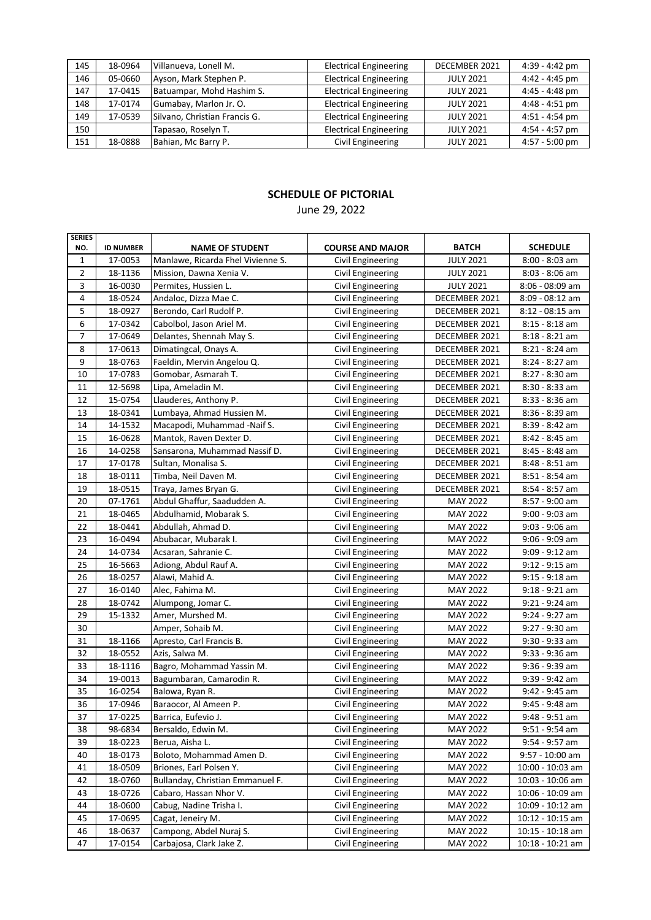| 145 | 18-0964 | Villanueva, Lonell M.         | <b>Electrical Engineering</b> | DECEMBER 2021    | 4:39 - 4:42 pm   |
|-----|---------|-------------------------------|-------------------------------|------------------|------------------|
| 146 | 05-0660 | Ayson, Mark Stephen P.        | <b>Electrical Engineering</b> | <b>JULY 2021</b> | $4:42 - 4:45$ pm |
| 147 | 17-0415 | Batuampar, Mohd Hashim S.     | <b>Electrical Engineering</b> | <b>JULY 2021</b> | $4:45 - 4:48$ pm |
| 148 | 17-0174 | Gumabay, Marlon Jr. O.        | <b>Electrical Engineering</b> | <b>JULY 2021</b> | 4:48 - 4:51 pm   |
| 149 | 17-0539 | Silvano, Christian Francis G. | <b>Electrical Engineering</b> | <b>JULY 2021</b> | $4:51 - 4:54$ pm |
| 150 |         | Tapasao, Roselyn T.           | <b>Electrical Engineering</b> | <b>JULY 2021</b> | $4:54 - 4:57$ pm |
| 151 | 18-0888 | Bahian, Mc Barry P.           | Civil Engineering             | <b>JULY 2021</b> | $4:57 - 5:00$ pm |

### June 29, 2022

| <b>SERIES</b>  |                  |                                   |                          |                  |                    |
|----------------|------------------|-----------------------------------|--------------------------|------------------|--------------------|
| NO.            | <b>ID NUMBER</b> | <b>NAME OF STUDENT</b>            | <b>COURSE AND MAJOR</b>  | <b>BATCH</b>     | <b>SCHEDULE</b>    |
| $\mathbf{1}$   | 17-0053          | Manlawe, Ricarda Fhel Vivienne S. | Civil Engineering        | <b>JULY 2021</b> | $8:00 - 8:03$ am   |
| $\overline{2}$ | 18-1136          | Mission, Dawna Xenia V.           | Civil Engineering        | <b>JULY 2021</b> | $8:03 - 8:06$ am   |
| 3              | 16-0030          | Permites, Hussien L.              | Civil Engineering        | <b>JULY 2021</b> | $8:06 - 08:09$ am  |
| $\overline{4}$ | 18-0524          | Andaloc, Dizza Mae C.             | Civil Engineering        | DECEMBER 2021    | $8:09 - 08:12$ am  |
| 5              | 18-0927          | Berondo, Carl Rudolf P.           | Civil Engineering        | DECEMBER 2021    | $8:12 - 08:15$ am  |
| 6              | 17-0342          | Cabolbol, Jason Ariel M.          | Civil Engineering        | DECEMBER 2021    | 8:15 - 8:18 am     |
| $\overline{7}$ | 17-0649          | Delantes, Shennah May S.          | Civil Engineering        | DECEMBER 2021    | 8:18 - 8:21 am     |
| 8              | 17-0613          | Dimatingcal, Onays A.             | Civil Engineering        | DECEMBER 2021    | 8:21 - 8:24 am     |
| 9              | 18-0763          | Faeldin, Mervin Angelou Q.        | Civil Engineering        | DECEMBER 2021    | 8:24 - 8:27 am     |
| 10             | 17-0783          | Gomobar, Asmarah T.               | Civil Engineering        | DECEMBER 2021    | $8:27 - 8:30$ am   |
| 11             | 12-5698          | Lipa, Ameladin M.                 | Civil Engineering        | DECEMBER 2021    | $8:30 - 8:33$ am   |
| 12             | 15-0754          | Llauderes, Anthony P.             | Civil Engineering        | DECEMBER 2021    | $8:33 - 8:36$ am   |
| 13             | 18-0341          | Lumbaya, Ahmad Hussien M.         | Civil Engineering        | DECEMBER 2021    | $8:36 - 8:39$ am   |
| 14             | 14-1532          | Macapodi, Muhammad -Naif S.       | Civil Engineering        | DECEMBER 2021    | 8:39 - 8:42 am     |
| 15             | 16-0628          | Mantok, Raven Dexter D.           | Civil Engineering        | DECEMBER 2021    | 8:42 - 8:45 am     |
| 16             | 14-0258          | Sansarona, Muhammad Nassif D.     | Civil Engineering        | DECEMBER 2021    | 8:45 - 8:48 am     |
| 17             | 17-0178          | Sultan, Monalisa S.               | Civil Engineering        | DECEMBER 2021    | 8:48 - 8:51 am     |
| 18             | 18-0111          | Timba, Neil Daven M.              | Civil Engineering        | DECEMBER 2021    | 8:51 - 8:54 am     |
| 19             | 18-0515          | Traya, James Bryan G.             | Civil Engineering        | DECEMBER 2021    | $8:54 - 8:57$ am   |
| 20             | 07-1761          | Abdul Ghaffur, Saadudden A.       | Civil Engineering        | <b>MAY 2022</b>  | 8:57 - 9:00 am     |
| 21             | 18-0465          | Abdulhamid, Mobarak S.            | <b>Civil Engineering</b> | <b>MAY 2022</b>  | 9:00 - 9:03 am     |
| 22             | 18-0441          | Abdullah, Ahmad D.                | Civil Engineering        | <b>MAY 2022</b>  | 9:03 - 9:06 am     |
| 23             | 16-0494          | Abubacar, Mubarak I.              | Civil Engineering        | <b>MAY 2022</b>  | 9:06 - 9:09 am     |
| 24             | 14-0734          | Acsaran, Sahranie C.              | Civil Engineering        | <b>MAY 2022</b>  | 9:09 - 9:12 am     |
| 25             | 16-5663          | Adiong, Abdul Rauf A.             | Civil Engineering        | MAY 2022         | $9:12 - 9:15$ am   |
| 26             | 18-0257          | Alawi, Mahid A.                   | Civil Engineering        | MAY 2022         | $9:15 - 9:18$ am   |
| 27             | 16-0140          | Alec, Fahima M.                   | Civil Engineering        | MAY 2022         | 9:18 - 9:21 am     |
| 28             | 18-0742          | Alumpong, Jomar C.                | Civil Engineering        | <b>MAY 2022</b>  | $9:21 - 9:24$ am   |
| 29             | 15-1332          | Amer, Murshed M.                  | Civil Engineering        | MAY 2022         | 9:24 - 9:27 am     |
| 30             |                  | Amper, Sohaib M.                  | Civil Engineering        | MAY 2022         | 9:27 - 9:30 am     |
| 31             | 18-1166          | Apresto, Carl Francis B.          | Civil Engineering        | MAY 2022         | 9:30 - 9:33 am     |
| 32             | 18-0552          | Azis, Salwa M.                    | Civil Engineering        | MAY 2022         | 9:33 - 9:36 am     |
| 33             | 18-1116          | Bagro, Mohammad Yassin M.         | Civil Engineering        | MAY 2022         | $9:36 - 9:39$ am   |
| 34             | 19-0013          | Bagumbaran, Camarodin R.          | Civil Engineering        | MAY 2022         | 9:39 - 9:42 am     |
| 35             | 16-0254          | Balowa, Ryan R.                   | Civil Engineering        | MAY 2022         | 9:42 - 9:45 am     |
| 36             | 17-0946          | Baraocor, Al Ameen P.             | Civil Engineering        | MAY 2022         | 9:45 - 9:48 am     |
| 37             | 17-0225          | Barrica, Eufevio J.               | Civil Engineering        | <b>MAY 2022</b>  | 9:48 - 9:51 am     |
| 38             | 98-6834          | Bersaldo, Edwin M.                | Civil Engineering        | MAY 2022         | 9:51 - 9:54 am     |
| 39             | 18-0223          | Berua, Aisha L.                   | Civil Engineering        | MAY 2022         | 9:54 - 9:57 am     |
| 40             | 18-0173          | Boloto, Mohammad Amen D.          | Civil Engineering        | MAY 2022         | 9:57 - 10:00 am    |
| 41             | 18-0509          | Briones, Earl Polsen Y.           | Civil Engineering        | MAY 2022         | 10:00 - 10:03 am   |
| 42             | 18-0760          | Bullanday, Christian Emmanuel F.  | Civil Engineering        | MAY 2022         | 10:03 - 10:06 am   |
| 43             | 18-0726          | Cabaro, Hassan Nhor V.            | Civil Engineering        | MAY 2022         | 10:06 - 10:09 am   |
| 44             | 18-0600          | Cabug, Nadine Trisha I.           | Civil Engineering        | MAY 2022         | 10:09 - 10:12 am   |
| 45             | 17-0695          | Cagat, Jeneiry M.                 | Civil Engineering        | MAY 2022         | 10:12 - 10:15 am   |
| 46             | 18-0637          | Campong, Abdel Nuraj S.           | Civil Engineering        | MAY 2022         | 10:15 - 10:18 am   |
| 47             | 17-0154          | Carbajosa, Clark Jake Z.          | Civil Engineering        | MAY 2022         | $10:18 - 10:21$ am |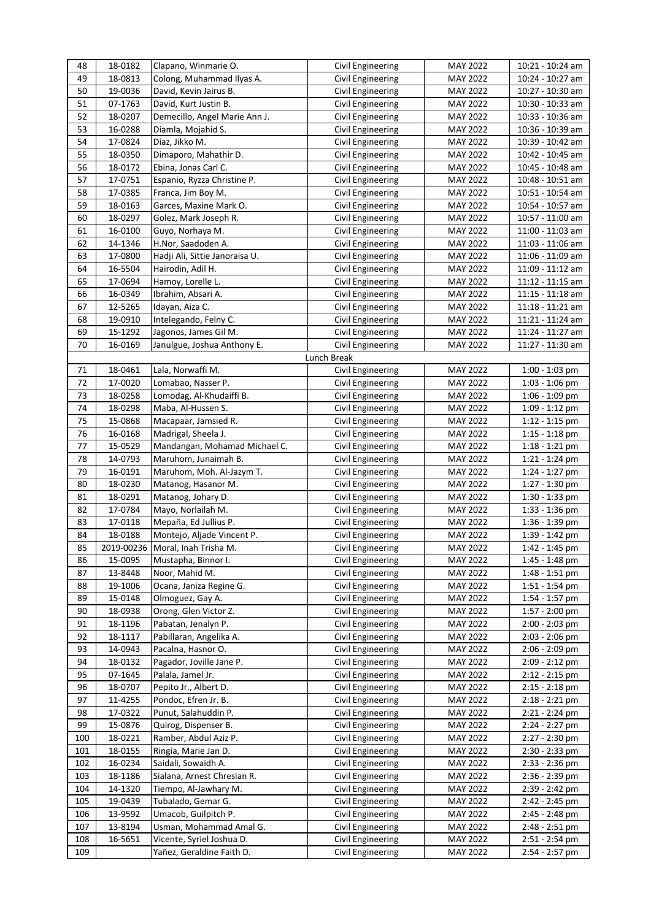| 48  | 18-0182 | Clapano, Winmarie O.             | Civil Engineering | <b>MAY 2022</b> | 10:21 - 10:24 am   |
|-----|---------|----------------------------------|-------------------|-----------------|--------------------|
| 49  | 18-0813 | Colong, Muhammad Ilyas A.        | Civil Engineering | MAY 2022        | 10:24 - 10:27 am   |
| 50  | 19-0036 | David, Kevin Jairus B.           | Civil Engineering | <b>MAY 2022</b> | 10:27 - 10:30 am   |
| 51  | 07-1763 | David, Kurt Justin B.            | Civil Engineering | <b>MAY 2022</b> | 10:30 - 10:33 am   |
| 52  | 18-0207 | Demecillo, Angel Marie Ann J.    | Civil Engineering | MAY 2022        | 10:33 - 10:36 am   |
| 53  | 16-0288 | Diamla, Mojahid S.               | Civil Engineering | MAY 2022        | 10:36 - 10:39 am   |
| 54  | 17-0824 | Diaz, Jikko M.                   | Civil Engineering | MAY 2022        | 10:39 - 10:42 am   |
| 55  | 18-0350 | Dimaporo, Mahathir D.            | Civil Engineering | MAY 2022        | 10:42 - 10:45 am   |
| 56  | 18-0172 | Ebina, Jonas Carl C.             | Civil Engineering | MAY 2022        | 10:45 - 10:48 am   |
| 57  | 17-0751 | Espanio, Ryzza Christine P.      | Civil Engineering | <b>MAY 2022</b> | 10:48 - 10:51 am   |
| 58  | 17-0385 | Franca, Jim Boy M.               | Civil Engineering | <b>MAY 2022</b> | 10:51 - 10:54 am   |
| 59  | 18-0163 | Garces, Maxine Mark O.           | Civil Engineering | <b>MAY 2022</b> | 10:54 - 10:57 am   |
| 60  | 18-0297 | Golez, Mark Joseph R.            | Civil Engineering | <b>MAY 2022</b> | 10:57 - 11:00 am   |
| 61  | 16-0100 | Guyo, Norhaya M.                 | Civil Engineering | MAY 2022        | 11:00 - 11:03 am   |
| 62  | 14-1346 | H.Nor, Saadoden A.               | Civil Engineering | <b>MAY 2022</b> | 11:03 - 11:06 am   |
| 63  | 17-0800 | Hadji Ali, Sittie Janoraisa U.   | Civil Engineering | <b>MAY 2022</b> | 11:06 - 11:09 am   |
| 64  | 16-5504 | Hairodin, Adil H.                | Civil Engineering | <b>MAY 2022</b> | 11:09 - 11:12 am   |
| 65  | 17-0694 | Hamoy, Lorelle L.                | Civil Engineering | <b>MAY 2022</b> | $11:12 - 11:15$ am |
| 66  | 16-0349 | Ibrahim, Absari A.               | Civil Engineering | <b>MAY 2022</b> | $11:15 - 11:18$ am |
| 67  | 12-5265 | Idayan, Aiza C.                  | Civil Engineering | MAY 2022        | $11:18 - 11:21$ am |
| 68  | 19-0910 | Intelegando, Felny C.            | Civil Engineering | MAY 2022        | 11:21 - 11:24 am   |
| 69  | 15-1292 | Jagonos, James Gil M.            | Civil Engineering | MAY 2022        | 11:24 - 11:27 am   |
| 70  | 16-0169 | Janulgue, Joshua Anthony E.      | Civil Engineering | MAY 2022        | 11:27 - 11:30 am   |
|     |         |                                  | Lunch Break       |                 |                    |
| 71  | 18-0461 | Lala, Norwaffi M.                | Civil Engineering | <b>MAY 2022</b> | $1:00 - 1:03$ pm   |
| 72  | 17-0020 | Lomabao, Nasser P.               | Civil Engineering | <b>MAY 2022</b> | $1:03 - 1:06$ pm   |
| 73  | 18-0258 | Lomodag, Al-Khudaiffi B.         | Civil Engineering | MAY 2022        | $1:06 - 1:09$ pm   |
| 74  | 18-0298 | Maba, Al-Hussen S.               | Civil Engineering | <b>MAY 2022</b> | $1:09 - 1:12$ pm   |
| 75  | 15-0868 | Macapaar, Jamsied R.             | Civil Engineering | MAY 2022        | $1:12 - 1:15$ pm   |
| 76  | 16-0168 | Madrigal, Sheela J.              | Civil Engineering | <b>MAY 2022</b> | $1:15 - 1:18$ pm   |
| 77  | 15-0529 | Mandangan, Mohamad Michael C.    | Civil Engineering | <b>MAY 2022</b> | 1:18 - 1:21 pm     |
| 78  | 14-0793 | Maruhom, Junaimah B.             | Civil Engineering | <b>MAY 2022</b> | $1:21 - 1:24$ pm   |
| 79  | 16-0191 | Maruhom, Moh. Al-Jazym T.        | Civil Engineering | <b>MAY 2022</b> | $1:24 - 1:27$ pm   |
| 80  | 18-0230 | Matanog, Hasanor M.              | Civil Engineering | <b>MAY 2022</b> | $1:27 - 1:30$ pm   |
| 81  | 18-0291 | Matanog, Johary D.               | Civil Engineering | <b>MAY 2022</b> | $1:30 - 1:33$ pm   |
| 82  | 17-0784 | Mayo, Norlailah M.               | Civil Engineering | MAY 2022        | $1:33 - 1:36$ pm   |
| 83  | 17-0118 | Mepaña, Ed Jullius P.            | Civil Engineering | MAY 2022        | 1:36 - 1:39 pm     |
| 84  | 18-0188 | Montejo, Aljade Vincent P.       | Civil Engineering | MAY 2022        | 1:39 - 1:42 pm     |
| 85  |         | 2019-00236 Moral, Inah Trisha M. | Civil Engineering | <b>MAY 2022</b> | 1:42 - 1:45 pm     |
| 86  | 15-0095 | Mustapha, Binnor I.              | Civil Engineering | MAY 2022        | 1:45 - 1:48 pm     |
| 87  | 13-8448 | Noor, Mahid M.                   | Civil Engineering | MAY 2022        | 1:48 - 1:51 pm     |
| 88  | 19-1006 | Ocana, Janiza Regine G.          | Civil Engineering | MAY 2022        | $1:51 - 1:54$ pm   |
| 89  | 15-0148 | Olmoguez, Gay A.                 | Civil Engineering | MAY 2022        | 1:54 - 1:57 pm     |
| 90  | 18-0938 | Orong, Glen Victor Z.            | Civil Engineering | MAY 2022        | 1:57 - 2:00 pm     |
| 91  | 18-1196 | Pabatan, Jenalyn P.              | Civil Engineering | MAY 2022        | 2:00 - 2:03 pm     |
| 92  | 18-1117 | Pabillaran, Angelika A.          | Civil Engineering | MAY 2022        | 2:03 - 2:06 pm     |
| 93  | 14-0943 | Pacalna, Hasnor O.               | Civil Engineering | MAY 2022        | 2:06 - 2:09 pm     |
| 94  | 18-0132 | Pagador, Joville Jane P.         | Civil Engineering | MAY 2022        | 2:09 - 2:12 pm     |
| 95  | 07-1645 | Palala, Jamel Jr.                | Civil Engineering | MAY 2022        | $2:12 - 2:15$ pm   |
| 96  | 18-0707 | Pepito Jr., Albert D.            | Civil Engineering | MAY 2022        | $2:15 - 2:18$ pm   |
| 97  | 11-4255 | Pondoc, Efren Jr. B.             | Civil Engineering | MAY 2022        | $2:18 - 2:21$ pm   |
| 98  | 17-0322 | Punut, Salahuddin P.             | Civil Engineering | MAY 2022        | 2:21 - 2:24 pm     |
| 99  | 15-0876 | Quirog, Dispenser B.             | Civil Engineering | MAY 2022        | 2:24 - 2:27 pm     |
| 100 | 18-0221 | Ramber, Abdul Aziz P.            | Civil Engineering | MAY 2022        | 2:27 - 2:30 pm     |
| 101 | 18-0155 | Ringia, Marie Jan D.             | Civil Engineering | MAY 2022        | 2:30 - 2:33 pm     |
| 102 | 16-0234 | Saidali, Sowaidh A.              | Civil Engineering | <b>MAY 2022</b> | 2:33 - 2:36 pm     |
| 103 | 18-1186 | Sialana, Arnest Chresian R.      | Civil Engineering | MAY 2022        | 2:36 - 2:39 pm     |
| 104 | 14-1320 | Tiempo, Al-Jawhary M.            | Civil Engineering | MAY 2022        | 2:39 - 2:42 pm     |
| 105 | 19-0439 | Tubalado, Gemar G.               | Civil Engineering | MAY 2022        | 2:42 - 2:45 pm     |
| 106 | 13-9592 | Umacob, Guilpitch P.             | Civil Engineering | MAY 2022        | 2:45 - 2:48 pm     |
| 107 | 13-8194 | Usman, Mohammad Amal G.          | Civil Engineering | MAY 2022        | 2:48 - 2:51 pm     |
| 108 | 16-5651 | Vicente, Syriel Joshua D.        | Civil Engineering | <b>MAY 2022</b> | 2:51 - 2:54 pm     |
| 109 |         | Yañez, Geraldine Faith D.        | Civil Engineering | MAY 2022        | 2:54 - 2:57 pm     |
|     |         |                                  |                   |                 |                    |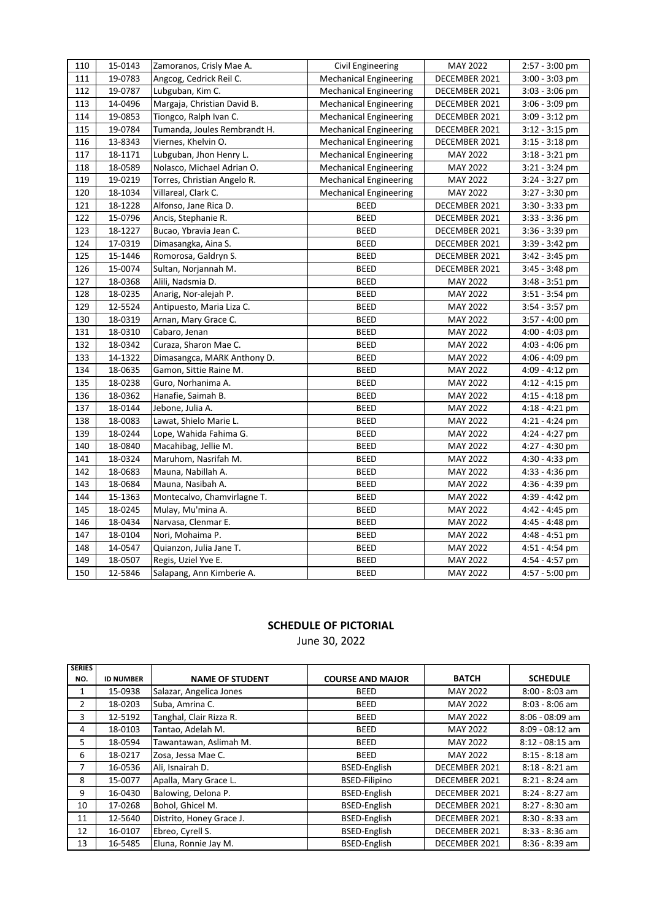| 110 | 15-0143 | Zamoranos, Crisly Mae A.     | Civil Engineering             | MAY 2022        | $2:57 - 3:00$ pm |
|-----|---------|------------------------------|-------------------------------|-----------------|------------------|
| 111 | 19-0783 | Angcog, Cedrick Reil C.      | <b>Mechanical Engineering</b> | DECEMBER 2021   | $3:00 - 3:03$ pm |
| 112 | 19-0787 | Lubguban, Kim C.             | <b>Mechanical Engineering</b> | DECEMBER 2021   | 3:03 - 3:06 pm   |
| 113 | 14-0496 | Margaja, Christian David B.  | <b>Mechanical Engineering</b> | DECEMBER 2021   | $3:06 - 3:09$ pm |
| 114 | 19-0853 | Tiongco, Ralph Ivan C.       | <b>Mechanical Engineering</b> | DECEMBER 2021   | $3:09 - 3:12$ pm |
| 115 | 19-0784 | Tumanda, Joules Rembrandt H. | <b>Mechanical Engineering</b> | DECEMBER 2021   | $3:12 - 3:15$ pm |
| 116 | 13-8343 | Viernes, Khelvin O.          | <b>Mechanical Engineering</b> | DECEMBER 2021   | $3:15 - 3:18$ pm |
| 117 | 18-1171 | Lubguban, Jhon Henry L.      | <b>Mechanical Engineering</b> | MAY 2022        | $3:18 - 3:21$ pm |
| 118 | 18-0589 | Nolasco, Michael Adrian O.   | <b>Mechanical Engineering</b> | MAY 2022        | $3:21 - 3:24$ pm |
| 119 | 19-0219 | Torres, Christian Angelo R.  | <b>Mechanical Engineering</b> | MAY 2022        | $3:24 - 3:27$ pm |
| 120 | 18-1034 | Villareal, Clark C.          | <b>Mechanical Engineering</b> | <b>MAY 2022</b> | 3:27 - 3:30 pm   |
| 121 | 18-1228 | Alfonso, Jane Rica D.        | <b>BEED</b>                   | DECEMBER 2021   | $3:30 - 3:33$ pm |
| 122 | 15-0796 | Ancis, Stephanie R.          | <b>BEED</b>                   | DECEMBER 2021   | $3:33 - 3:36$ pm |
| 123 | 18-1227 | Bucao, Ybravia Jean C.       | <b>BEED</b>                   | DECEMBER 2021   | $3:36 - 3:39$ pm |
| 124 | 17-0319 | Dimasangka, Aina S.          | <b>BEED</b>                   | DECEMBER 2021   | 3:39 - 3:42 pm   |
| 125 | 15-1446 | Romorosa, Galdryn S.         | BEED                          | DECEMBER 2021   | $3:42 - 3:45$ pm |
| 126 | 15-0074 | Sultan, Norjannah M.         | <b>BEED</b>                   | DECEMBER 2021   | $3:45 - 3:48$ pm |
| 127 | 18-0368 | Alili, Nadsmia D.            | <b>BEED</b>                   | MAY 2022        | $3:48 - 3:51$ pm |
| 128 | 18-0235 | Anarig, Nor-alejah P.        | <b>BEED</b>                   | MAY 2022        | $3:51 - 3:54$ pm |
| 129 | 12-5524 | Antipuesto, Maria Liza C.    | <b>BEED</b>                   | MAY 2022        | $3:54 - 3:57$ pm |
| 130 | 18-0319 | Arnan, Mary Grace C.         | <b>BEED</b>                   | MAY 2022        | $3:57 - 4:00$ pm |
| 131 | 18-0310 | Cabaro, Jenan                | <b>BEED</b>                   | MAY 2022        | $4:00 - 4:03$ pm |
| 132 | 18-0342 | Curaza, Sharon Mae C.        | <b>BEED</b>                   | MAY 2022        | 4:03 - 4:06 pm   |
| 133 | 14-1322 | Dimasangca, MARK Anthony D.  | <b>BEED</b>                   | MAY 2022        | 4:06 - 4:09 pm   |
| 134 | 18-0635 | Gamon, Sittie Raine M.       | <b>BEED</b>                   | MAY 2022        | 4:09 - 4:12 pm   |
| 135 | 18-0238 | Guro, Norhanima A.           | <b>BEED</b>                   | MAY 2022        | 4:12 - 4:15 pm   |
| 136 | 18-0362 | Hanafie, Saimah B.           | BEED                          | MAY 2022        | 4:15 - 4:18 pm   |
| 137 | 18-0144 | Jebone, Julia A.             | <b>BEED</b>                   | <b>MAY 2022</b> | 4:18 - 4:21 pm   |
| 138 | 18-0083 | Lawat, Shielo Marie L.       | <b>BEED</b>                   | MAY 2022        | 4:21 - 4:24 pm   |
| 139 | 18-0244 | Lope, Wahida Fahima G.       | <b>BEED</b>                   | MAY 2022        | 4:24 - 4:27 pm   |
| 140 | 18-0840 | Macahibag, Jellie M.         | <b>BEED</b>                   | MAY 2022        | 4:27 - 4:30 pm   |
| 141 | 18-0324 | Maruhom, Nasrifah M.         | BEED                          | MAY 2022        | 4:30 - 4:33 pm   |
| 142 | 18-0683 | Mauna, Nabillah A.           | <b>BEED</b>                   | <b>MAY 2022</b> | 4:33 - 4:36 pm   |
| 143 | 18-0684 | Mauna, Nasibah A.            | <b>BEED</b>                   | MAY 2022        | 4:36 - 4:39 pm   |
| 144 | 15-1363 | Montecalvo, Chamvirlagne T.  | <b>BEED</b>                   | MAY 2022        | 4:39 - 4:42 pm   |
| 145 | 18-0245 | Mulay, Mu'mina A.            | <b>BEED</b>                   | <b>MAY 2022</b> | 4:42 - 4:45 pm   |
| 146 | 18-0434 | Narvasa, Clenmar E.          | <b>BEED</b>                   | MAY 2022        | 4:45 - 4:48 pm   |
| 147 | 18-0104 | Nori, Mohaima P.             | BEED                          | MAY 2022        | 4:48 - 4:51 pm   |
| 148 | 14-0547 | Quianzon, Julia Jane T.      | <b>BEED</b>                   | MAY 2022        | 4:51 - 4:54 pm   |
| 149 | 18-0507 | Regis, Uziel Yve E.          | <b>BEED</b>                   | MAY 2022        | 4:54 - 4:57 pm   |
| 150 | 12-5846 | Salapang, Ann Kimberie A.    | <b>BEED</b>                   | MAY 2022        | 4:57 - 5:00 pm   |

June 30, 2022

| <b>SERIES</b> |                  |                          |                         |                 |                   |
|---------------|------------------|--------------------------|-------------------------|-----------------|-------------------|
| NO.           | <b>ID NUMBER</b> | <b>NAME OF STUDENT</b>   | <b>COURSE AND MAJOR</b> | <b>BATCH</b>    | <b>SCHEDULE</b>   |
| 1             | 15-0938          | Salazar, Angelica Jones  | <b>BEED</b>             | <b>MAY 2022</b> | $8:00 - 8:03$ am  |
| 2             | 18-0203          | Suba, Amrina C.          | <b>BEED</b>             | <b>MAY 2022</b> | $8:03 - 8:06$ am  |
| 3             | 12-5192          | Tanghal, Clair Rizza R.  | <b>BEED</b>             | <b>MAY 2022</b> | $8:06 - 08:09$ am |
| 4             | 18-0103          | Tantao, Adelah M.        | <b>BEED</b>             | <b>MAY 2022</b> | $8:09 - 08:12$ am |
| 5             | 18-0594          | Tawantawan, Aslimah M.   | <b>BEED</b>             | <b>MAY 2022</b> | $8:12 - 08:15$ am |
| 6             | 18-0217          | Zosa, Jessa Mae C.       | <b>BEED</b>             | <b>MAY 2022</b> | $8:15 - 8:18$ am  |
| 7             | 16-0536          | Ali, Isnairah D.         | <b>BSED-English</b>     | DECEMBER 2021   | $8:18 - 8:21$ am  |
| 8             | 15-0077          | Apalla, Mary Grace L.    | <b>BSED-Filipino</b>    | DECEMBER 2021   | $8:21 - 8:24$ am  |
| 9             | 16-0430          | Balowing, Delona P.      | <b>BSED-English</b>     | DECEMBER 2021   | $8:24 - 8:27$ am  |
| 10            | 17-0268          | Bohol, Ghicel M.         | <b>BSED-English</b>     | DECEMBER 2021   | $8:27 - 8:30$ am  |
| 11            | 12-5640          | Distrito, Honey Grace J. | <b>BSED-English</b>     | DECEMBER 2021   | $8:30 - 8:33$ am  |
| 12            | 16-0107          | Ebreo, Cyrell S.         | <b>BSED-English</b>     | DECEMBER 2021   | $8:33 - 8:36$ am  |
| 13            | 16-5485          | Eluna, Ronnie Jay M.     | <b>BSED-English</b>     | DECEMBER 2021   | $8:36 - 8:39$ am  |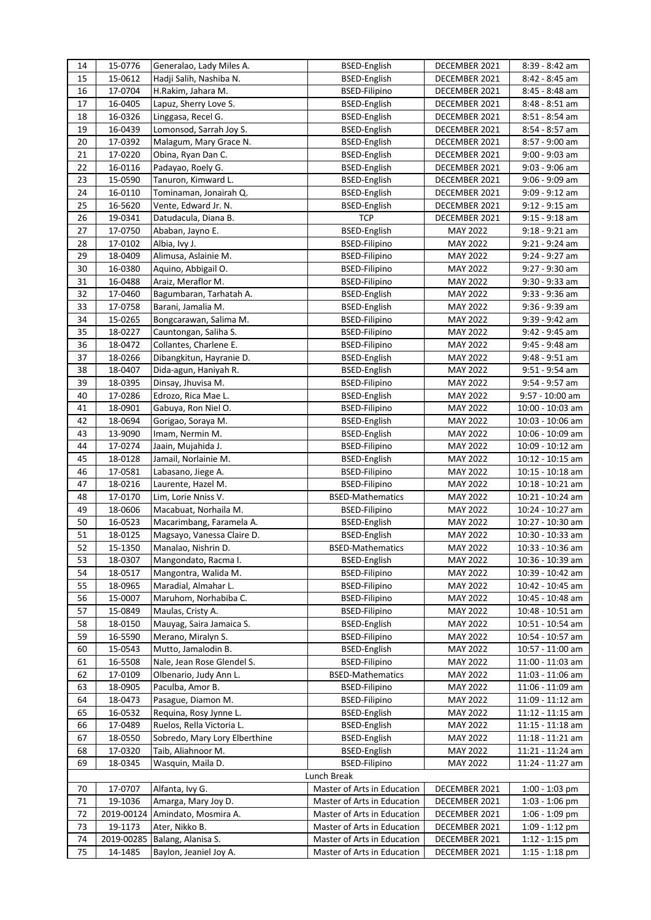| 14          | 15-0776    | Generalao, Lady Miles A.      | <b>BSED-English</b>         | DECEMBER 2021   | 8:39 - 8:42 am     |  |  |  |
|-------------|------------|-------------------------------|-----------------------------|-----------------|--------------------|--|--|--|
| 15          | 15-0612    | Hadji Salih, Nashiba N.       | <b>BSED-English</b>         | DECEMBER 2021   | 8:42 - 8:45 am     |  |  |  |
| 16          | 17-0704    | H.Rakim, Jahara M.            | <b>BSED-Filipino</b>        | DECEMBER 2021   | 8:45 - 8:48 am     |  |  |  |
| 17          | 16-0405    | Lapuz, Sherry Love S.         | <b>BSED-English</b>         | DECEMBER 2021   | 8:48 - 8:51 am     |  |  |  |
| 18          | 16-0326    | Linggasa, Recel G.            | <b>BSED-English</b>         | DECEMBER 2021   | 8:51 - 8:54 am     |  |  |  |
| 19          | 16-0439    | Lomonsod, Sarrah Joy S.       | <b>BSED-English</b>         | DECEMBER 2021   | 8:54 - 8:57 am     |  |  |  |
| 20          | 17-0392    | Malagum, Mary Grace N.        | <b>BSED-English</b>         | DECEMBER 2021   | 8:57 - 9:00 am     |  |  |  |
| 21          | 17-0220    | Obina, Ryan Dan C.            | <b>BSED-English</b>         | DECEMBER 2021   | $9:00 - 9:03$ am   |  |  |  |
| 22          | 16-0116    | Padayao, Roely G.             | <b>BSED-English</b>         | DECEMBER 2021   | 9:03 - 9:06 am     |  |  |  |
| 23          | 15-0590    | Tanuron, Kimward L.           | BSED-English                | DECEMBER 2021   | 9:06 - 9:09 am     |  |  |  |
| 24          | 16-0110    | Tominaman, Jonairah Q.        | <b>BSED-English</b>         | DECEMBER 2021   | 9:09 - 9:12 am     |  |  |  |
| 25          | 16-5620    | Vente, Edward Jr. N.          | <b>BSED-English</b>         | DECEMBER 2021   | $9:12 - 9:15$ am   |  |  |  |
| 26          | 19-0341    | Datudacula, Diana B.          | <b>TCP</b>                  | DECEMBER 2021   | 9:15 - 9:18 am     |  |  |  |
| 27          | 17-0750    | Ababan, Jayno E.              | <b>BSED-English</b>         | <b>MAY 2022</b> | 9:18 - 9:21 am     |  |  |  |
| 28          | 17-0102    | Albia, Ivy J.                 | <b>BSED-Filipino</b>        | <b>MAY 2022</b> | 9:21 - 9:24 am     |  |  |  |
| 29          | 18-0409    | Alimusa, Aslainie M.          | <b>BSED-Filipino</b>        | <b>MAY 2022</b> | 9:24 - 9:27 am     |  |  |  |
| 30          | 16-0380    | Aquino, Abbigail O.           | <b>BSED-Filipino</b>        | <b>MAY 2022</b> | 9:27 - 9:30 am     |  |  |  |
| 31          | 16-0488    | Araiz, Meraflor M.            | <b>BSED-Filipino</b>        | <b>MAY 2022</b> | $9:30 - 9:33$ am   |  |  |  |
| 32          | 17-0460    | Bagumbaran, Tarhatah A.       | BSED-English                | <b>MAY 2022</b> | $9:33 - 9:36$ am   |  |  |  |
| 33          | 17-0758    | Barani, Jamalia M.            | BSED-English                | <b>MAY 2022</b> | $9:36 - 9:39$ am   |  |  |  |
| 34          | 15-0265    | Bongcarawan, Salima M.        | <b>BSED-Filipino</b>        | <b>MAY 2022</b> | 9:39 - 9:42 am     |  |  |  |
| 35          | 18-0227    | Cauntongan, Saliha S.         | <b>BSED-Filipino</b>        | <b>MAY 2022</b> | 9:42 - 9:45 am     |  |  |  |
| 36          | 18-0472    | Collantes, Charlene E.        | <b>BSED-Filipino</b>        | <b>MAY 2022</b> | 9:45 - 9:48 am     |  |  |  |
| 37          | 18-0266    | Dibangkitun, Hayranie D.      | <b>BSED-English</b>         | <b>MAY 2022</b> | 9:48 - 9:51 am     |  |  |  |
| 38          | 18-0407    | Dida-agun, Haniyah R.         | <b>BSED-English</b>         | MAY 2022        | $9:51 - 9:54$ am   |  |  |  |
| 39          | 18-0395    | Dinsay, Jhuvisa M.            | <b>BSED-Filipino</b>        | <b>MAY 2022</b> | 9:54 - 9:57 am     |  |  |  |
| 40          | 17-0286    | Edrozo, Rica Mae L.           | <b>BSED-English</b>         | MAY 2022        | 9:57 - 10:00 am    |  |  |  |
| 41          | 18-0901    | Gabuya, Ron Niel O.           | <b>BSED-Filipino</b>        | <b>MAY 2022</b> | 10:00 - 10:03 am   |  |  |  |
| 42          | 18-0694    | Gorigao, Soraya M.            | <b>BSED-English</b>         | MAY 2022        | 10:03 - 10:06 am   |  |  |  |
| 43          | 13-9090    | Imam, Nermin M.               | <b>BSED-English</b>         | <b>MAY 2022</b> | 10:06 - 10:09 am   |  |  |  |
| 44          | 17-0274    | Jaain, Mujahida J.            | <b>BSED-Filipino</b>        | <b>MAY 2022</b> | 10:09 - 10:12 am   |  |  |  |
| 45          | 18-0128    | Jamail, Norlainie M.          | <b>BSED-English</b>         | <b>MAY 2022</b> | $10:12 - 10:15$ am |  |  |  |
| 46          | 17-0581    | Labasano, Jiege A.            | <b>BSED-Filipino</b>        | <b>MAY 2022</b> | $10:15 - 10:18$ am |  |  |  |
| 47          | 18-0216    | Laurente, Hazel M.            | <b>BSED-Filipino</b>        | <b>MAY 2022</b> | $10:18 - 10:21$ am |  |  |  |
| 48          | 17-0170    | Lim, Lorie Nniss V.           | <b>BSED-Mathematics</b>     | MAY 2022        | 10:21 - 10:24 am   |  |  |  |
| 49          | 18-0606    | Macabuat, Norhaila M.         | <b>BSED-Filipino</b>        | MAY 2022        | 10:24 - 10:27 am   |  |  |  |
| 50          | 16-0523    | Macarimbang, Faramela A.      | <b>BSED-English</b>         | MAY 2022        | 10:27 - 10:30 am   |  |  |  |
| 51          | 18-0125    | Magsayo, Vanessa Claire D.    | BSED-English                | MAY 2022        | 10:30 - 10:33 am   |  |  |  |
| 52          | 15-1350    | Manalao, Nishrin D.           | <b>BSED-Mathematics</b>     | <b>MAY 2022</b> | 10:33 - 10:36 am   |  |  |  |
| 53          | 18-0307    | Mangondato, Racma I.          | <b>BSED-English</b>         | MAY 2022        | 10:36 - 10:39 am   |  |  |  |
| 54          | 18-0517    | Mangontra, Walida M.          | <b>BSED-Filipino</b>        | <b>MAY 2022</b> | 10:39 - 10:42 am   |  |  |  |
| 55          | 18-0965    | Maradial, Almahar L.          | <b>BSED-Filipino</b>        | MAY 2022        | 10:42 - 10:45 am   |  |  |  |
| 56          | 15-0007    | Maruhom, Norhabiba C.         | <b>BSED-Filipino</b>        | MAY 2022        | 10:45 - 10:48 am   |  |  |  |
| 57          | 15-0849    | Maulas, Cristy A.             | <b>BSED-Filipino</b>        | MAY 2022        | 10:48 - 10:51 am   |  |  |  |
| 58          | 18-0150    | Mauyag, Saira Jamaica S.      | <b>BSED-English</b>         | MAY 2022        | 10:51 - 10:54 am   |  |  |  |
| 59          | 16-5590    | Merano, Miralyn S.            | <b>BSED-Filipino</b>        | MAY 2022        | 10:54 - 10:57 am   |  |  |  |
| 60          | 15-0543    | Mutto, Jamalodin B.           | <b>BSED-English</b>         | MAY 2022        | 10:57 - 11:00 am   |  |  |  |
| 61          | 16-5508    | Nale, Jean Rose Glendel S.    | <b>BSED-Filipino</b>        | MAY 2022        | 11:00 - 11:03 am   |  |  |  |
| 62          | 17-0109    | Olbenario, Judy Ann L.        | <b>BSED-Mathematics</b>     | <b>MAY 2022</b> | 11:03 - 11:06 am   |  |  |  |
| 63          | 18-0905    | Paculba, Amor B.              | <b>BSED-Filipino</b>        | MAY 2022        | 11:06 - 11:09 am   |  |  |  |
| 64          | 18-0473    | Pasague, Diamon M.            | <b>BSED-Filipino</b>        | MAY 2022        | 11:09 - 11:12 am   |  |  |  |
| 65          | 16-0532    | Requina, Rosy Jynne L.        | <b>BSED-English</b>         | MAY 2022        | 11:12 - 11:15 am   |  |  |  |
| 66          | 17-0489    | Ruelos, Rella Victoria L.     | <b>BSED-English</b>         | MAY 2022        | $11:15 - 11:18$ am |  |  |  |
| 67          | 18-0550    | Sobredo, Mary Lory Elberthine | <b>BSED-English</b>         | MAY 2022        | $11:18 - 11:21$ am |  |  |  |
| 68          | 17-0320    | Taib, Aliahnoor M.            | <b>BSED-English</b>         | MAY 2022        | 11:21 - 11:24 am   |  |  |  |
| 69          | 18-0345    | Wasquin, Maila D.             | <b>BSED-Filipino</b>        | <b>MAY 2022</b> | 11:24 - 11:27 am   |  |  |  |
| Lunch Break |            |                               |                             |                 |                    |  |  |  |
| 70          | 17-0707    | Alfanta, Ivy G.               | Master of Arts in Education | DECEMBER 2021   | 1:00 - 1:03 pm     |  |  |  |
| 71          | 19-1036    | Amarga, Mary Joy D.           | Master of Arts in Education | DECEMBER 2021   | 1:03 - 1:06 pm     |  |  |  |
| 72          | 2019-00124 | Amindato, Mosmira A.          | Master of Arts in Education | DECEMBER 2021   | 1:06 - 1:09 pm     |  |  |  |
| 73          | 19-1173    | Ater, Nikko B.                | Master of Arts in Education | DECEMBER 2021   | $1:09 - 1:12$ pm   |  |  |  |
| 74          | 2019-00285 | Balang, Alanisa S.            | Master of Arts in Education | DECEMBER 2021   | $1:12 - 1:15$ pm   |  |  |  |
| 75          | 14-1485    | Baylon, Jeaniel Joy A.        | Master of Arts in Education | DECEMBER 2021   | $1:15 - 1:18$ pm   |  |  |  |
|             |            |                               |                             |                 |                    |  |  |  |